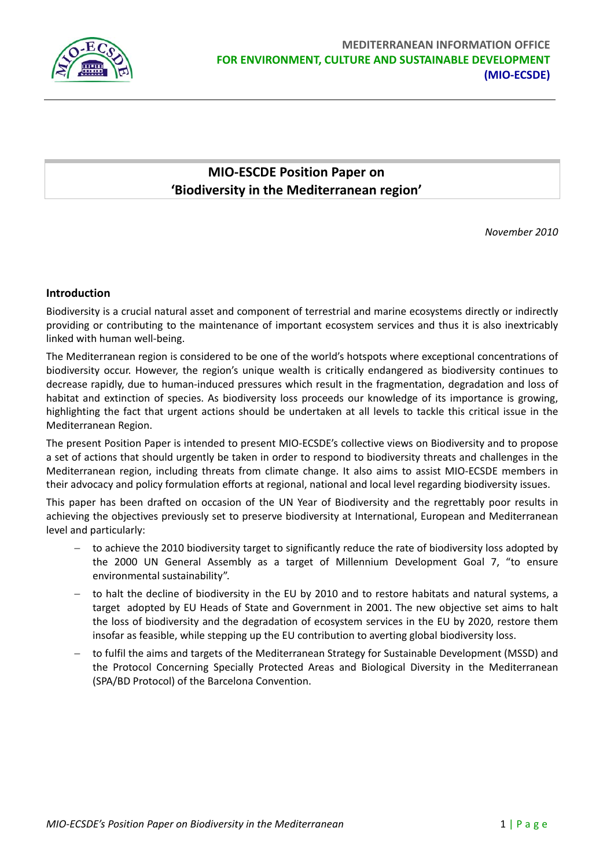

# **MIO‐ESCDE Position Paper on 'Biodiversity in the Mediterranean region'**

*November 2010*

## **Introduction**

Biodiversity is a crucial natural asset and component of terrestrial and marine ecosystems directly or indirectly providing or contributing to the maintenance of important ecosystem services and thus it is also inextricably linked with human well‐being.

The Mediterranean region is considered to be one of the world's hotspots where exceptional concentrations of biodiversity occur. However, the region's unique wealth is critically endangered as biodiversity continues to decrease rapidly, due to human‐induced pressures which result in the fragmentation, degradation and loss of habitat and extinction of species. As biodiversity loss proceeds our knowledge of its importance is growing, highlighting the fact that urgent actions should be undertaken at all levels to tackle this critical issue in the Mediterranean Region.

The present Position Paper is intended to present MIO‐ECSDE's collective views on Biodiversity and to propose a set of actions that should urgently be taken in order to respond to biodiversity threats and challenges in the Mediterranean region, including threats from climate change. It also aims to assist MIO‐ECSDE members in their advocacy and policy formulation efforts at regional, national and local level regarding biodiversity issues.

This paper has been drafted on occasion of the UN Year of Biodiversity and the regrettably poor results in achieving the objectives previously set to preserve biodiversity at International, European and Mediterranean level and particularly:

- to achieve the 2010 biodiversity target to significantly reduce the rate of biodiversity loss adopted by the 2000 UN General Assembly as a target of Millennium Development Goal 7, "to ensure environmental sustainability".
- − to halt the decline of biodiversity in the EU by 2010 and to restore habitats and natural systems, a target adopted by EU Heads of State and Government in 2001. The new objective set aims to halt the loss of biodiversity and the degradation of ecosystem services in the EU by 2020, restore them insofar as feasible, while stepping up the EU contribution to averting global biodiversity loss.
- − to fulfil the aims and targets of the Mediterranean Strategy for Sustainable Development (MSSD) and the Protocol Concerning Specially Protected Areas and Biological Diversity in the Mediterranean (SPA/BD Protocol) of the Barcelona Convention.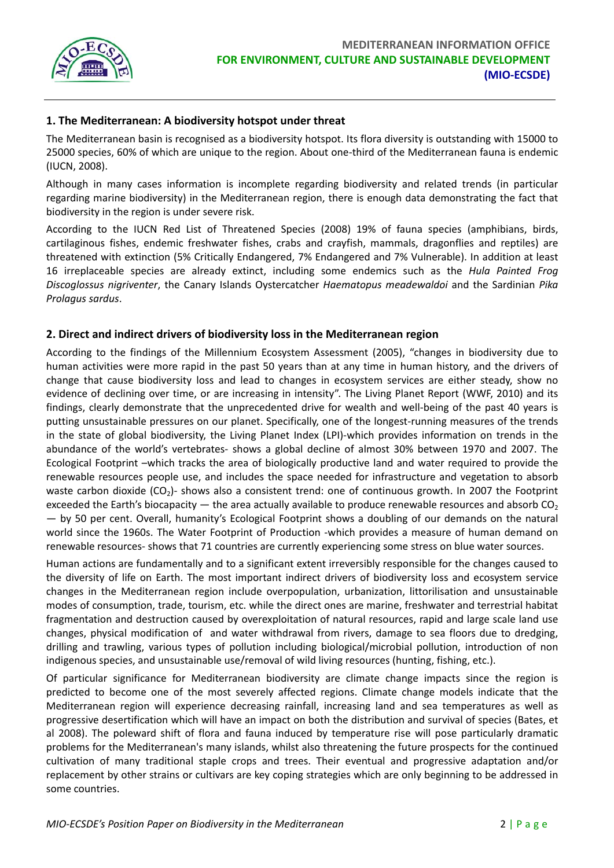

# **1. The Mediterranean: A biodiversity hotspot under threat**

The Mediterranean basin is recognised as a biodiversity hotspot. Its flora diversity is outstanding with 15000 to 25000 species, 60% of which are unique to the region. About one‐third of the Mediterranean fauna is endemic (IUCN, 2008).

Although in many cases information is incomplete regarding biodiversity and related trends (in particular regarding marine biodiversity) in the Mediterranean region, there is enough data demonstrating the fact that biodiversity in the region is under severe risk.

According to the IUCN Red List of Threatened Species (2008) 19% of fauna species (amphibians, birds, cartilaginous fishes, endemic freshwater fishes, crabs and crayfish, mammals, dragonflies and reptiles) are threatened with extinction (5% Critically Endangered, 7% Endangered and 7% Vulnerable). In addition at least 16 irreplaceable species are already extinct, including some endemics such as the *Hula Painted Frog Discoglossus nigriventer*, the Canary Islands Oystercatcher *Haematopus meadewaldoi* and the Sardinian *Pika Prolagus sardus*.

## **2. Direct and indirect drivers of biodiversity loss in the Mediterranean region**

According to the findings of the Millennium Ecosystem Assessment (2005), "changes in biodiversity due to human activities were more rapid in the past 50 years than at any time in human history, and the drivers of change that cause biodiversity loss and lead to changes in ecosystem services are either steady, show no evidence of declining over time, or are increasing in intensity". The Living Planet Report (WWF, 2010) and its findings, clearly demonstrate that the unprecedented drive for wealth and well-being of the past 40 years is putting unsustainable pressures on our planet. Specifically, one of the longest-running measures of the trends in the state of global biodiversity, the Living Planet Index (LPI)‐which provides information on trends in the abundance of the world's vertebrates‐ shows a global decline of almost 30% between 1970 and 2007. The Ecological Footprint –which tracks the area of biologically productive land and water required to provide the renewable resources people use, and includes the space needed for infrastructure and vegetation to absorb waste carbon dioxide (CO<sub>2</sub>) shows also a consistent trend: one of continuous growth. In 2007 the Footprint exceeded the Earth's biocapacity — the area actually available to produce renewable resources and absorb  $CO<sub>2</sub>$ — by 50 per cent. Overall, humanity's Ecological Footprint shows a doubling of our demands on the natural world since the 1960s. The Water Footprint of Production -which provides a measure of human demand on renewable resources‐ shows that 71 countries are currently experiencing some stress on blue water sources.

Human actions are fundamentally and to a significant extent irreversibly responsible for the changes caused to the diversity of life on Earth. The most important indirect drivers of biodiversity loss and ecosystem service changes in the Mediterranean region include overpopulation, urbanization, littorilisation and unsustainable modes of consumption, trade, tourism, etc. while the direct ones are marine, freshwater and terrestrial habitat fragmentation and destruction caused by overexploitation of natural resources, rapid and large scale land use changes, physical modification of and water withdrawal from rivers, damage to sea floors due to dredging, drilling and trawling, various types of pollution including biological/microbial pollution, introduction of non indigenous species, and unsustainable use/removal of wild living resources (hunting, fishing, etc.).

Of particular significance for Mediterranean biodiversity are climate change impacts since the region is predicted to become one of the most severely affected regions. Climate change models indicate that the Mediterranean region will experience decreasing rainfall, increasing land and sea temperatures as well as progressive desertification which will have an impact on both the distribution and survival of species (Bates, et al 2008). The poleward shift of flora and fauna induced by temperature rise will pose particularly dramatic problems for the Mediterranean's many islands, whilst also threatening the future prospects for the continued cultivation of many traditional staple crops and trees. Their eventual and progressive adaptation and/or replacement by other strains or cultivars are key coping strategies which are only beginning to be addressed in some countries.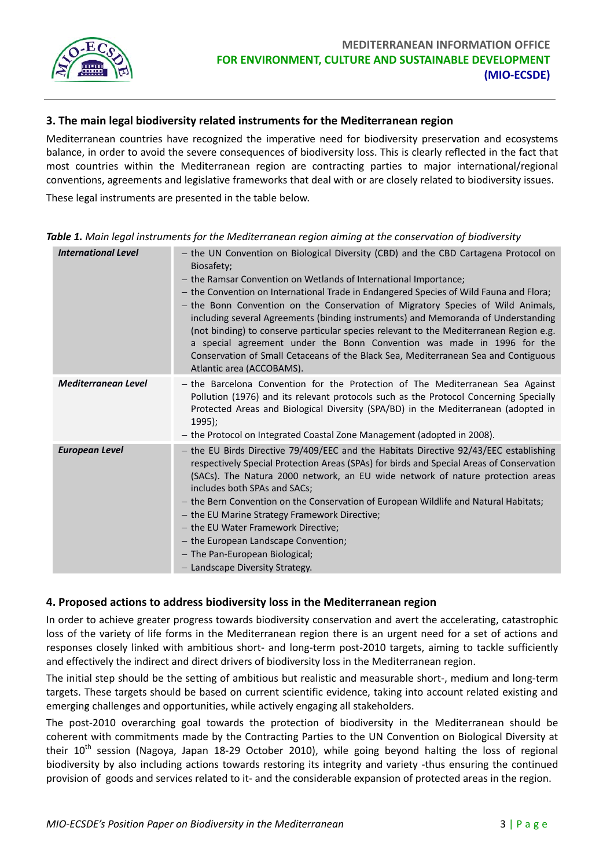

## **3. The main legal biodiversity related instruments for the Mediterranean region**

Mediterranean countries have recognized the imperative need for biodiversity preservation and ecosystems balance, in order to avoid the severe consequences of biodiversity loss. This is clearly reflected in the fact that most countries within the Mediterranean region are contracting parties to major international/regional conventions, agreements and legislative frameworks that deal with or are closely related to biodiversity issues.

These legal instruments are presented in the table below.

| <b>International Level</b> | - the UN Convention on Biological Diversity (CBD) and the CBD Cartagena Protocol on<br>Biosafety;<br>- the Ramsar Convention on Wetlands of International Importance;<br>- the Convention on International Trade in Endangered Species of Wild Fauna and Flora;<br>- the Bonn Convention on the Conservation of Migratory Species of Wild Animals,<br>including several Agreements (binding instruments) and Memoranda of Understanding<br>(not binding) to conserve particular species relevant to the Mediterranean Region e.g.<br>a special agreement under the Bonn Convention was made in 1996 for the<br>Conservation of Small Cetaceans of the Black Sea, Mediterranean Sea and Contiguous<br>Atlantic area (ACCOBAMS). |
|----------------------------|--------------------------------------------------------------------------------------------------------------------------------------------------------------------------------------------------------------------------------------------------------------------------------------------------------------------------------------------------------------------------------------------------------------------------------------------------------------------------------------------------------------------------------------------------------------------------------------------------------------------------------------------------------------------------------------------------------------------------------|
| <b>Mediterranean Level</b> | - the Barcelona Convention for the Protection of The Mediterranean Sea Against<br>Pollution (1976) and its relevant protocols such as the Protocol Concerning Specially<br>Protected Areas and Biological Diversity (SPA/BD) in the Mediterranean (adopted in<br>$1995$ :<br>- the Protocol on Integrated Coastal Zone Management (adopted in 2008).                                                                                                                                                                                                                                                                                                                                                                           |
| <b>European Level</b>      | - the EU Birds Directive 79/409/EEC and the Habitats Directive 92/43/EEC establishing<br>respectively Special Protection Areas (SPAs) for birds and Special Areas of Conservation<br>(SACs). The Natura 2000 network, an EU wide network of nature protection areas<br>includes both SPAs and SACs;<br>- the Bern Convention on the Conservation of European Wildlife and Natural Habitats;<br>- the EU Marine Strategy Framework Directive;<br>- the EU Water Framework Directive;<br>- the European Landscape Convention;<br>- The Pan-European Biological;<br>- Landscape Diversity Strategy.                                                                                                                               |

*Table 1. Main legal instruments for the Mediterranean region aiming at the conservation of biodiversity*

## **4. Proposed actions to address biodiversity loss in the Mediterranean region**

In order to achieve greater progress towards biodiversity conservation and avert the accelerating, catastrophic loss of the variety of life forms in the Mediterranean region there is an urgent need for a set of actions and responses closely linked with ambitious short‐ and long‐term post‐2010 targets, aiming to tackle sufficiently and effectively the indirect and direct drivers of biodiversity loss in the Mediterranean region.

The initial step should be the setting of ambitious but realistic and measurable short‐, medium and long‐term targets. These targets should be based on current scientific evidence, taking into account related existing and emerging challenges and opportunities, while actively engaging all stakeholders.

The post-2010 overarching goal towards the protection of biodiversity in the Mediterranean should be coherent with commitments made by the Contracting Parties to the UN Convention on Biological Diversity at their 10<sup>th</sup> session (Nagoya, Japan 18-29 October 2010), while going beyond halting the loss of regional biodiversity by also including actions towards restoring its integrity and variety ‐thus ensuring the continued provision of goods and services related to it‐ and the considerable expansion of protected areas in the region.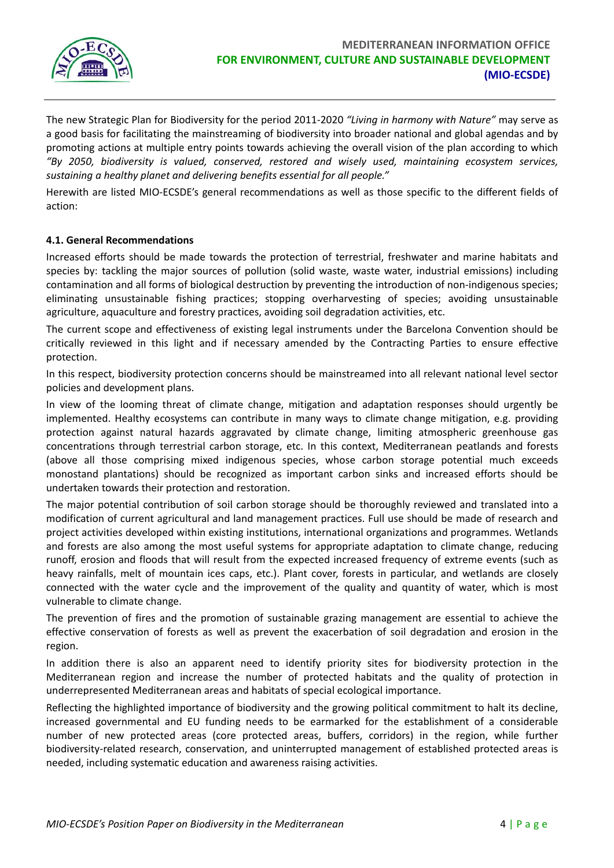

The new Strategic Plan for Biodiversity for the period 2011‐2020 *"Living in harmony with Nature"* may serve as a good basis for facilitating the mainstreaming of biodiversity into broader national and global agendas and by promoting actions at multiple entry points towards achieving the overall vision of the plan according to which *"By 2050, biodiversity is valued, conserved, restored and wisely used, maintaining ecosystem services, sustaining a healthy planet and delivering benefits essential for all people."*

Herewith are listed MIO‐ECSDE's general recommendations as well as those specific to the different fields of action:

#### **4.1. General Recommendations**

Increased efforts should be made towards the protection of terrestrial, freshwater and marine habitats and species by: tackling the major sources of pollution (solid waste, waste water, industrial emissions) including contamination and all forms of biological destruction by preventing the introduction of non‐indigenous species; eliminating unsustainable fishing practices; stopping overharvesting of species; avoiding unsustainable agriculture, aquaculture and forestry practices, avoiding soil degradation activities, etc.

The current scope and effectiveness of existing legal instruments under the Barcelona Convention should be critically reviewed in this light and if necessary amended by the Contracting Parties to ensure effective protection.

In this respect, biodiversity protection concerns should be mainstreamed into all relevant national level sector policies and development plans.

In view of the looming threat of climate change, mitigation and adaptation responses should urgently be implemented. Healthy ecosystems can contribute in many ways to climate change mitigation, e.g. providing protection against natural hazards aggravated by climate change, limiting atmospheric greenhouse gas concentrations through terrestrial carbon storage, etc. In this context, Mediterranean peatlands and forests (above all those comprising mixed indigenous species, whose carbon storage potential much exceeds monostand plantations) should be recognized as important carbon sinks and increased efforts should be undertaken towards their protection and restoration.

The major potential contribution of soil carbon storage should be thoroughly reviewed and translated into a modification of current agricultural and land management practices. Full use should be made of research and project activities developed within existing institutions, international organizations and programmes. Wetlands and forests are also among the most useful systems for appropriate adaptation to climate change, reducing runoff, erosion and floods that will result from the expected increased frequency of extreme events (such as heavy rainfalls, melt of mountain ices caps, etc.). Plant cover, forests in particular, and wetlands are closely connected with the water cycle and the improvement of the quality and quantity of water, which is most vulnerable to climate change.

The prevention of fires and the promotion of sustainable grazing management are essential to achieve the effective conservation of forests as well as prevent the exacerbation of soil degradation and erosion in the region.

In addition there is also an apparent need to identify priority sites for biodiversity protection in the Mediterranean region and increase the number of protected habitats and the quality of protection in underrepresented Mediterranean areas and habitats of special ecological importance.

Reflecting the highlighted importance of biodiversity and the growing political commitment to halt its decline, increased governmental and EU funding needs to be earmarked for the establishment of a considerable number of new protected areas (core protected areas, buffers, corridors) in the region, while further biodiversity‐related research, conservation, and uninterrupted management of established protected areas is needed, including systematic education and awareness raising activities.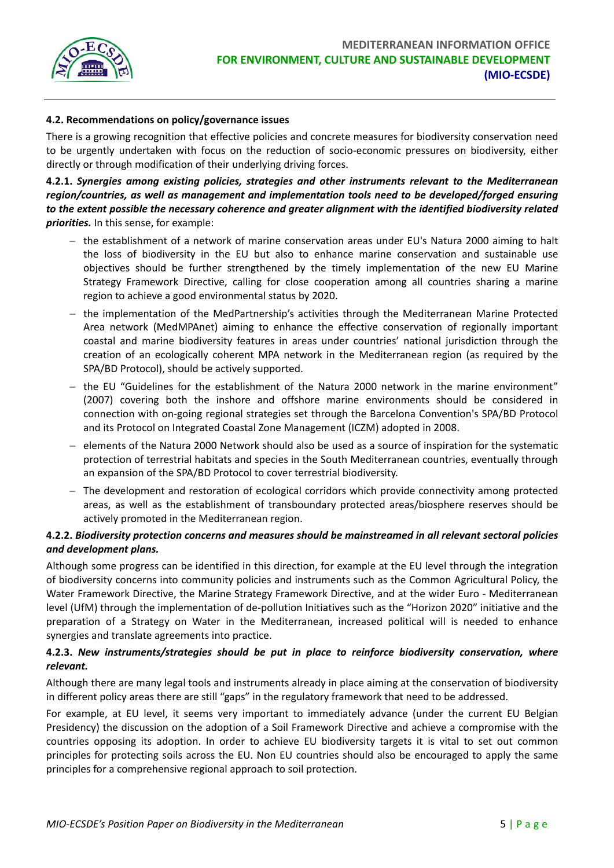

#### **4.2. Recommendations on policy/governance issues**

There is a growing recognition that effective policies and concrete measures for biodiversity conservation need to be urgently undertaken with focus on the reduction of socio‐economic pressures on biodiversity, either directly or through modification of their underlying driving forces.

**4.2.1.** *Synergies among existing policies, strategies and other instruments relevant to the Mediterranean region/countries, as well as management and implementation tools need to be developed/forged ensuring to the extent possible the necessary coherence and greater alignment with the identified biodiversity related priorities.* In this sense, for example:

- − the establishment of a network of marine conservation areas under EU's Natura 2000 aiming to halt the loss of biodiversity in the EU but also to enhance marine conservation and sustainable use objectives should be further strengthened by the timely implementation of the new EU Marine Strategy Framework Directive, calling for close cooperation among all countries sharing a marine region to achieve a good environmental status by 2020.
- − the implementation of the MedPartnership's activities through the Mediterranean Marine Protected Area network (MedMPAnet) aiming to enhance the effective conservation of regionally important coastal and marine biodiversity features in areas under countries' national jurisdiction through the creation of an ecologically coherent MPA network in the Mediterranean region (as required by the SPA/BD Protocol), should be actively supported.
- − the EU "Guidelines for the establishment of the Natura 2000 network in the marine environment" (2007) covering both the inshore and offshore marine environments should be considered in connection with on‐going regional strategies set through the Barcelona Convention's SPA/BD Protocol and its Protocol on Integrated Coastal Zone Management (ICZM) adopted in 2008.
- − elements of the Natura 2000 Network should also be used as a source of inspiration for the systematic protection of terrestrial habitats and species in the South Mediterranean countries, eventually through an expansion of the SPA/BD Protocol to cover terrestrial biodiversity.
- − The development and restoration of ecological corridors which provide connectivity among protected areas, as well as the establishment of transboundary protected areas/biosphere reserves should be actively promoted in the Mediterranean region.

#### **4.2.2.** *Biodiversity protection concerns and measures should be mainstreamed in all relevant sectoral policies and development plans.*

Although some progress can be identified in this direction, for example at the EU level through the integration of biodiversity concerns into community policies and instruments such as the Common Agricultural Policy, the Water Framework Directive, the Marine Strategy Framework Directive, and at the wider Euro - Mediterranean level (UfM) through the implementation of de‐pollution Initiatives such as the "Horizon 2020" initiative and the preparation of a Strategy on Water in the Mediterranean, increased political will is needed to enhance synergies and translate agreements into practice.

## **4.2.3.** *New instruments/strategies should be put in place to reinforce biodiversity conservation, where relevant.*

Although there are many legal tools and instruments already in place aiming at the conservation of biodiversity in different policy areas there are still "gaps" in the regulatory framework that need to be addressed.

For example, at EU level, it seems very important to immediately advance (under the current EU Belgian Presidency) the discussion on the adoption of a Soil Framework Directive and achieve a compromise with the countries opposing its adoption. In order to achieve EU biodiversity targets it is vital to set out common principles for protecting soils across the EU. Non EU countries should also be encouraged to apply the same principles for a comprehensive regional approach to soil protection.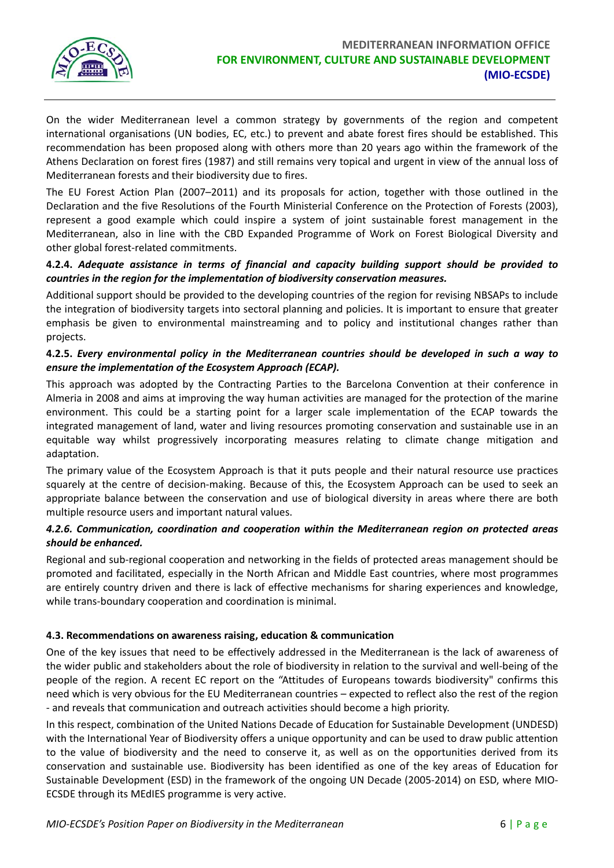

On the wider Mediterranean level a common strategy by governments of the region and competent international organisations (UN bodies, EC, etc.) to prevent and abate forest fires should be established. This recommendation has been proposed along with others more than 20 years ago within the framework of the Athens Declaration on forest fires (1987) and still remains very topical and urgent in view of the annual loss of Mediterranean forests and their biodiversity due to fires.

The EU Forest Action Plan (2007–2011) and its proposals for action, together with those outlined in the Declaration and the five Resolutions of the Fourth Ministerial Conference on the Protection of Forests (2003), represent a good example which could inspire a system of joint sustainable forest management in the Mediterranean, also in line with the CBD Expanded Programme of Work on Forest Biological Diversity and other global forest‐related commitments.

## **4.2.4.** *Adequate assistance in terms of financial and capacity building support should be provided to countries in the region for the implementation of biodiversity conservation measures.*

Additional support should be provided to the developing countries of the region for revising NBSAPs to include the integration of biodiversity targets into sectoral planning and policies. It is important to ensure that greater emphasis be given to environmental mainstreaming and to policy and institutional changes rather than projects.

#### **4.2.5.** *Every environmental policy in the Mediterranean countries should be developed in such a way to ensure the implementation of the Ecosystem Approach (ECAP).*

This approach was adopted by the Contracting Parties to the Barcelona Convention at their conference in Almeria in 2008 and aims at improving the way human activities are managed for the protection of the marine environment. This could be a starting point for a larger scale implementation of the ECAP towards the integrated management of land, water and living resources promoting conservation and sustainable use in an equitable way whilst progressively incorporating measures relating to climate change mitigation and adaptation.

The primary value of the Ecosystem Approach is that it puts people and their natural resource use practices squarely at the centre of decision-making. Because of this, the Ecosystem Approach can be used to seek an appropriate balance between the conservation and use of biological diversity in areas where there are both multiple resource users and important natural values.

## *4.2.6. Communication, coordination and cooperation within the Mediterranean region on protected areas should be enhanced.*

Regional and sub‐regional cooperation and networking in the fields of protected areas management should be promoted and facilitated, especially in the North African and Middle East countries, where most programmes are entirely country driven and there is lack of effective mechanisms for sharing experiences and knowledge, while trans-boundary cooperation and coordination is minimal.

## **4.3. Recommendations on awareness raising, education & communication**

One of the key issues that need to be effectively addressed in the Mediterranean is the lack of awareness of the wider public and stakeholders about the role of biodiversity in relation to the survival and well‐being of the people of the region. A recent EC report on the "Attitudes of Europeans towards biodiversity" confirms this need which is very obvious for the EU Mediterranean countries – expected to reflect also the rest of the region ‐ and reveals that communication and outreach activities should become a high priority.

In this respect, combination of the United Nations Decade of Education for Sustainable Development (UNDESD) with the International Year of Biodiversity offers a unique opportunity and can be used to draw public attention to the value of biodiversity and the need to conserve it, as well as on the opportunities derived from its conservation and sustainable use. Biodiversity has been identified as one of the key areas of Education for Sustainable Development (ESD) in the framework of the ongoing UN Decade (2005‐2014) on ESD, where MIO‐ ECSDE through its MEdIES programme is very active.